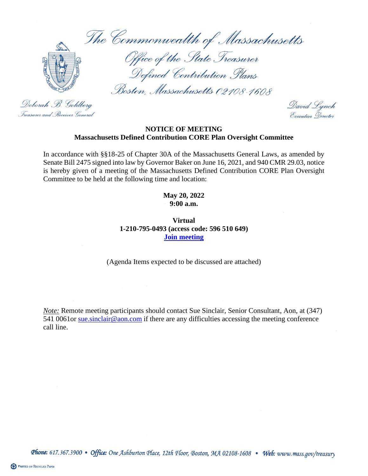The Commonwealth of Massachusetts



Office of the State Treasurer<br>Defined Contribution Plans

Boston, Massachusetts 02108-1608

Deborah B. Goldberg Treasurer and . Receiver General

David Lynch Executive Nerector

## **NOTICE OF MEETING Massachusetts Defined Contribution CORE Plan Oversight Committee**

In accordance with §§18-25 of Chapter 30A of the Massachusetts General Laws, as amended by Senate Bill 2475 signed into law by Governor Baker on June 16, 2021, and 940 CMR 29.03, notice is hereby given of a meeting of the Massachusetts Defined Contribution CORE Plan Oversight Committee to be held at the following time and location:

> **May 20, 2022 9:00 a.m.**

**Virtual 1-210-795-0493 (access code: 596 510 649) [Join meeting](https://aon.webex.com/join/sue.sinclair)**

(Agenda Items expected to be discussed are attached)

*Note:* Remote meeting participants should contact Sue Sinclair, Senior Consultant, Aon, at (347) 541 0061or sue sinclair@aon.com if there are any difficulties accessing the meeting conference call line.

Phone: 617.367.3900 • Office: One Ashburton Place, 12th Floor, Boston, MA 02108-1608 • Web: www.mass.gov/treasury